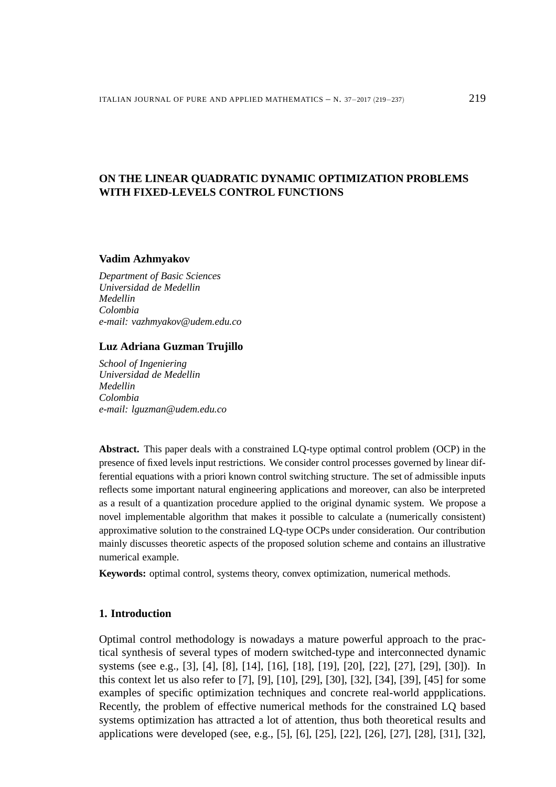# **ON THE LINEAR QUADRATIC DYNAMIC OPTIMIZATION PROBLEMS WITH FIXED-LEVELS CONTROL FUNCTIONS**

#### **Vadim Azhmyakov**

*Department of Basic Sciences Universidad de Medellin Medellin Colombia e-mail: vazhmyakov@udem.edu.co*

## **Luz Adriana Guzman Trujillo**

*School of Ingeniering Universidad de Medellin Medellin Colombia e-mail: lguzman@udem.edu.co*

**Abstract.** This paper deals with a constrained LQ-type optimal control problem (OCP) in the presence of fixed levels input restrictions. We consider control processes governed by linear differential equations with a priori known control switching structure. The set of admissible inputs reflects some important natural engineering applications and moreover, can also be interpreted as a result of a quantization procedure applied to the original dynamic system. We propose a novel implementable algorithm that makes it possible to calculate a (numerically consistent) approximative solution to the constrained LQ-type OCPs under consideration. Our contribution mainly discusses theoretic aspects of the proposed solution scheme and contains an illustrative numerical example.

**Keywords:** optimal control, systems theory, convex optimization, numerical methods.

### **1. Introduction**

Optimal control methodology is nowadays a mature powerful approach to the practical synthesis of several types of modern switched-type and interconnected dynamic systems (see e.g., [3], [4], [8], [14], [16], [18], [19], [20], [22], [27], [29], [30]). In this context let us also refer to [7], [9], [10], [29], [30], [32], [34], [39], [45] for some examples of specific optimization techniques and concrete real-world appplications. Recently, the problem of effective numerical methods for the constrained LQ based systems optimization has attracted a lot of attention, thus both theoretical results and applications were developed (see, e.g., [5], [6], [25], [22], [26], [27], [28], [31], [32],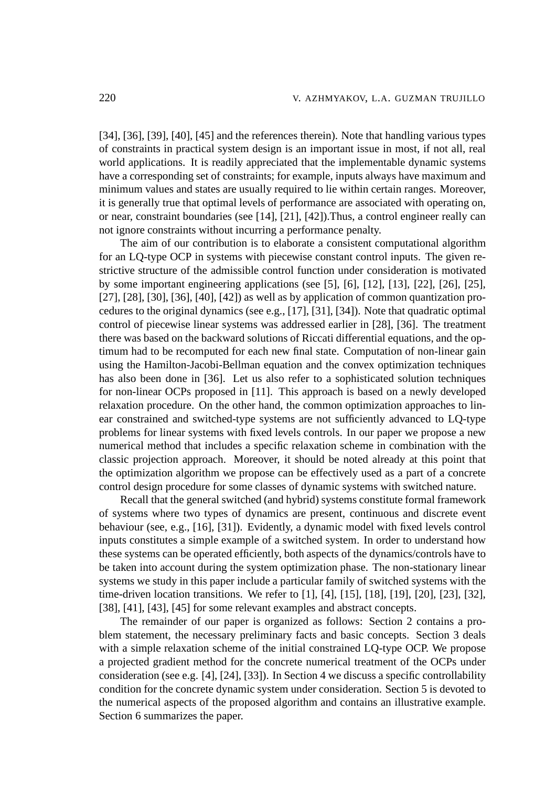[34], [36], [39], [40], [45] and the references therein). Note that handling various types of constraints in practical system design is an important issue in most, if not all, real world applications. It is readily appreciated that the implementable dynamic systems have a corresponding set of constraints; for example, inputs always have maximum and minimum values and states are usually required to lie within certain ranges. Moreover, it is generally true that optimal levels of performance are associated with operating on, or near, constraint boundaries (see [14], [21], [42]).Thus, a control engineer really can not ignore constraints without incurring a performance penalty.

The aim of our contribution is to elaborate a consistent computational algorithm for an LQ-type OCP in systems with piecewise constant control inputs. The given restrictive structure of the admissible control function under consideration is motivated by some important engineering applications (see [5], [6], [12], [13], [22], [26], [25], [27], [28], [30], [36], [40], [42]) as well as by application of common quantization procedures to the original dynamics (see e.g., [17], [31], [34]). Note that quadratic optimal control of piecewise linear systems was addressed earlier in [28], [36]. The treatment there was based on the backward solutions of Riccati differential equations, and the optimum had to be recomputed for each new final state. Computation of non-linear gain using the Hamilton-Jacobi-Bellman equation and the convex optimization techniques has also been done in [36]. Let us also refer to a sophisticated solution techniques for non-linear OCPs proposed in [11]. This approach is based on a newly developed relaxation procedure. On the other hand, the common optimization approaches to linear constrained and switched-type systems are not sufficiently advanced to LQ-type problems for linear systems with fixed levels controls. In our paper we propose a new numerical method that includes a specific relaxation scheme in combination with the classic projection approach. Moreover, it should be noted already at this point that the optimization algorithm we propose can be effectively used as a part of a concrete control design procedure for some classes of dynamic systems with switched nature.

Recall that the general switched (and hybrid) systems constitute formal framework of systems where two types of dynamics are present, continuous and discrete event behaviour (see, e.g., [16], [31]). Evidently, a dynamic model with fixed levels control inputs constitutes a simple example of a switched system. In order to understand how these systems can be operated efficiently, both aspects of the dynamics/controls have to be taken into account during the system optimization phase. The non-stationary linear systems we study in this paper include a particular family of switched systems with the time-driven location transitions. We refer to [1], [4], [15], [18], [19], [20], [23], [32], [38], [41], [43], [45] for some relevant examples and abstract concepts.

The remainder of our paper is organized as follows: Section 2 contains a problem statement, the necessary preliminary facts and basic concepts. Section 3 deals with a simple relaxation scheme of the initial constrained LQ-type OCP. We propose a projected gradient method for the concrete numerical treatment of the OCPs under consideration (see e.g. [4], [24], [33]). In Section 4 we discuss a specific controllability condition for the concrete dynamic system under consideration. Section 5 is devoted to the numerical aspects of the proposed algorithm and contains an illustrative example. Section 6 summarizes the paper.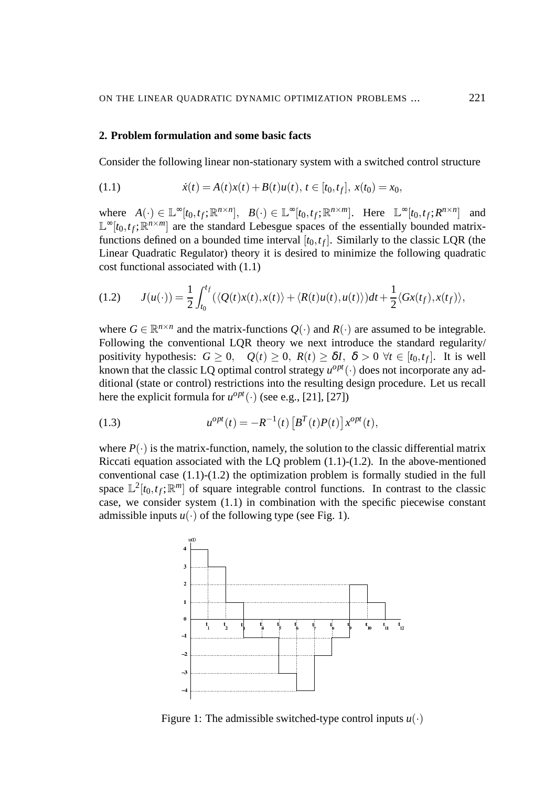## **2. Problem formulation and some basic facts**

Consider the following linear non-stationary system with a switched control structure

(1.1) 
$$
\dot{x}(t) = A(t)x(t) + B(t)u(t), t \in [t_0, t_f], x(t_0) = x_0,
$$

where  $A(\cdot) \in \mathbb{L}^{\infty}[t_0, t_f; \mathbb{R}^{n \times n}]$ ,  $B(\cdot) \in \mathbb{L}^{\infty}[t_0, t_f; \mathbb{R}^{n \times m}]$ . Here  $\mathbb{L}^{\infty}[t_0, t_f; R^{n \times n}]$  and  $\mathbb{L}^{\infty}[t_0,t_f;\mathbb{R}^{n\times m}]$  are the standard Lebesgue spaces of the essentially bounded matrixfunctions defined on a bounded time interval  $[t_0, t_f]$ . Similarly to the classic LQR (the Linear Quadratic Regulator) theory it is desired to minimize the following quadratic cost functional associated with (1.1)

$$
(1.2) \qquad J(u(\cdot)) = \frac{1}{2} \int_{t_0}^{t_f} (\langle Q(t)x(t), x(t) \rangle + \langle R(t)u(t), u(t) \rangle) dt + \frac{1}{2} \langle Gx(t_f), x(t_f) \rangle,
$$

where  $G \in \mathbb{R}^{n \times n}$  and the matrix-functions  $Q(\cdot)$  and  $R(\cdot)$  are assumed to be integrable. Following the conventional LQR theory we next introduce the standard regularity/ positivity hypothesis:  $G \ge 0$ ,  $Q(t) \ge 0$ ,  $R(t) \ge \delta I$ ,  $\delta > 0$   $\forall t \in [t_0, t_f]$ . It is well known that the classic LQ optimal control strategy  $u^{opt}(\cdot)$  does not incorporate any additional (state or control) restrictions into the resulting design procedure. Let us recall here the explicit formula for  $u^{opt}(\cdot)$  (see e.g., [21], [27])

(1.3) 
$$
u^{opt}(t) = -R^{-1}(t) \left[ B^{T}(t)P(t) \right] x^{opt}(t),
$$

where  $P(\cdot)$  is the matrix-function, namely, the solution to the classic differential matrix Riccati equation associated with the LQ problem  $(1.1)-(1.2)$ . In the above-mentioned conventional case (1.1)-(1.2) the optimization problem is formally studied in the full space  $\mathbb{L}^2[t_0,t_f;\mathbb{R}^m]$  of square integrable control functions. In contrast to the classic case, we consider system (1.1) in combination with the specific piecewise constant admissible inputs  $u(\cdot)$  of the following type (see Fig. 1).



Figure 1: The admissible switched-type control inputs  $u(\cdot)$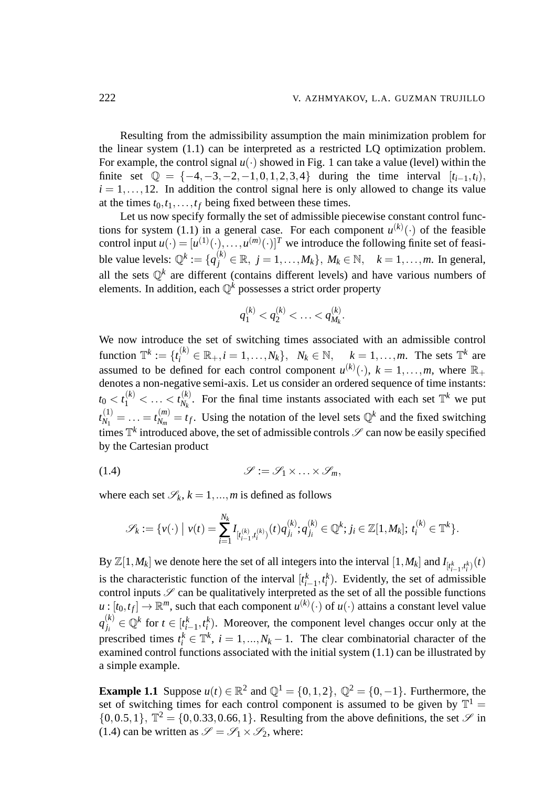Resulting from the admissibility assumption the main minimization problem for the linear system (1.1) can be interpreted as a restricted LQ optimization problem. For example, the control signal  $u(\cdot)$  showed in Fig. 1 can take a value (level) within the finite set  $\mathbb{Q} = \{-4, -3, -2, -1, 0, 1, 2, 3, 4\}$  during the time interval  $[t_{i-1}, t_i)$ ,  $i = 1, \ldots, 12$ . In addition the control signal here is only allowed to change its value at the times  $t_0, t_1, \ldots, t_f$  being fixed between these times.

Let us now specify formally the set of admissible piecewise constant control functions for system (1.1) in a general case. For each component  $u^{(k)}(\cdot)$  of the feasible control input  $u(\cdot) = [u^{(1)}(\cdot), \ldots, u^{(m)}(\cdot)]^T$  we introduce the following finite set of feasi $b$ le value levels:  $\mathbb{Q}^k := \{q_j^{(k)} \in \mathbb{R}, j = 1, ..., M_k\}, M_k \in \mathbb{N}, \quad k = 1, ..., m$ . In general, all the sets  $\mathbb{Q}^k$  are different (contains different levels) and have various numbers of elements. In addition, each Q*<sup>k</sup>* possesses a strict order property

$$
q_1^{(k)} < q_2^{(k)} < \ldots < q_{M_k}^{(k)}.
$$

We now introduce the set of switching times associated with an admissible control function  $\mathbb{T}^k := \{t_i^{(k)} \in \mathbb{R}_+, i = 1, \ldots, N_k\}, \quad N_k \in \mathbb{N}, \quad k = 1, \ldots, m.$  The sets  $\mathbb{T}^k$  are assumed to be defined for each control component  $u^{(k)}(\cdot)$ ,  $k = 1, \ldots, m$ , where  $\mathbb{R}_+$ denotes a non-negative semi-axis. Let us consider an ordered sequence of time instants:  $t_0 < t_1^{(k)} < \ldots < t_{N_k}^{(k)}$  $N_k^{(k)}$ . For the final time instants associated with each set  $\mathbb{T}^k$  we put  $t_{N_1}^{(1)}$  $t_{N_1}^{(1)} = \ldots = t_{N_m}^{(m)}$  $N_m^{(m)} = t_f$ . Using the notation of the level sets  $\mathbb{Q}^k$  and the fixed switching times  $\mathbb{T}^k$  introduced above, the set of admissible controls  $\mathscr{S}$  can now be easily specified by the Cartesian product

$$
(1.4) \t\t \t\t \mathscr{S} := \mathscr{S}_1 \times \ldots \times \mathscr{S}_m,
$$

where each set  $\mathcal{S}_k$ ,  $k = 1, ..., m$  is defined as follows

$$
\mathscr{S}_k:=\{v(\cdot)\bigm|v(t)=\sum_{i=1}^{N_k}I_{[t_{i-1}^{(k)},t_i^{(k)})}(t)q_{j_i}^{(k)};q_{j_i}^{(k)}\in\mathbb{Q}^k; j_i\in\mathbb{Z}[1,M_k];\,t_i^{(k)}\in\mathbb{T}^k\}.
$$

By  $\mathbb{Z}[1,M_k]$  we denote here the set of all integers into the interval  $[1,M_k]$  and  $I_{[t_{i-1}^k,t_i^k)}(t)$ is the characteristic function of the interval  $[t_{i-1}^k, t_i^k)$ . Evidently, the set of admissible control inputs  $S$  can be qualitatively interpreted as the set of all the possible functions  $u:[t_0,t_f]\to\mathbb{R}^m,$  such that each component  $u^{(k)}(\cdot)$  of  $u(\cdot)$  attains a constant level value  $q_{i}^{(k)}$  $\mathbf{Q}^{(k)}$  *i*<sub>*i*</sub></sub> ∈  $\mathbb{Q}^{k}$  for  $t \in [t_i^k]$  $k_{i-1}$ ,  $t_i^k$ ). Moreover, the component level changes occur only at the prescribed times  $t_i^k \in \mathbb{T}^k$ ,  $i = 1, ..., N_k - 1$ . The clear combinatorial character of the examined control functions associated with the initial system (1.1) can be illustrated by a simple example.

**Example 1.1** Suppose  $u(t) \in \mathbb{R}^2$  and  $\mathbb{Q}^1 = \{0, 1, 2\}$ ,  $\mathbb{Q}^2 = \{0, -1\}$ . Furthermore, the set of switching times for each control component is assumed to be given by  $\mathbb{T}^1$  =  $\{0,0.5,1\}$ ,  $\mathbb{T}^2 = \{0,0.33,0.66,1\}$ . Resulting from the above definitions, the set  $\mathscr{S}$  in (1.4) can be written as  $\mathscr{S} = \mathscr{S}_1 \times \mathscr{S}_2$ , where: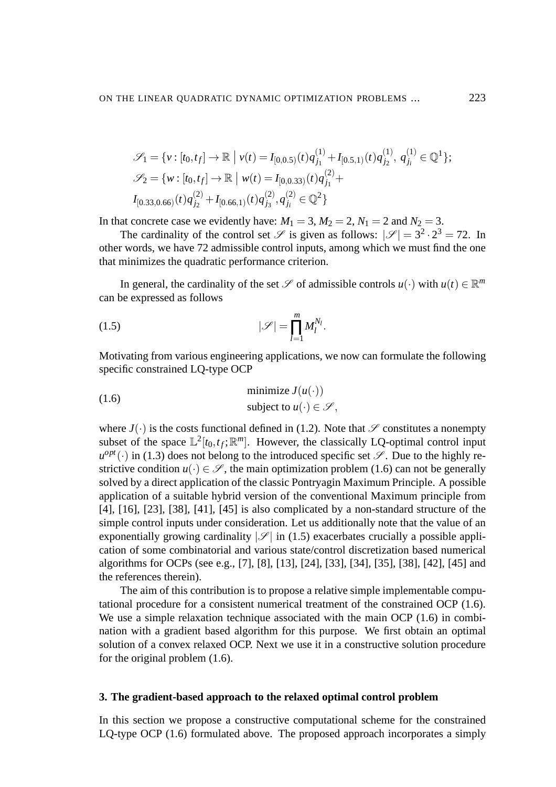$$
\mathcal{S}_1 = \{ v : [t_0, t_f] \to \mathbb{R} \mid v(t) = I_{[0,0.5)}(t) q_{j_1}^{(1)} + I_{[0.5,1)}(t) q_{j_2}^{(1)}, q_{j_i}^{(1)} \in \mathbb{Q}^1 \};
$$
  

$$
\mathcal{S}_2 = \{ w : [t_0, t_f] \to \mathbb{R} \mid w(t) = I_{[0,0.33)}(t) q_{j_1}^{(2)} + I_{[0.33,0.66)}(t) q_{j_2}^{(2)} + I_{[0.66,1)}(t) q_{j_3}^{(2)}, q_{j_i}^{(2)} \in \mathbb{Q}^2 \}
$$

In that concrete case we evidently have:  $M_1 = 3$ ,  $M_2 = 2$ ,  $N_1 = 2$  and  $N_2 = 3$ .

The cardinality of the control set  $\mathscr S$  is given as follows:  $|\mathscr S|=3^2\cdot 2^3=72$ . In other words, we have 72 admissible control inputs, among which we must find the one that minimizes the quadratic performance criterion.

In general, the cardinality of the set  $\mathscr S$  of admissible controls  $u(\cdot)$  with  $u(t) \in \mathbb R^m$ can be expressed as follows

$$
(1.5) \t |\mathscr{S}| = \prod_{l=1}^m M_l^{N_l}.
$$

Motivating from various engineering applications, we now can formulate the following specific constrained LQ-type OCP

(1.6) minimize 
$$
J(u(\cdot))
$$
  
subject to  $u(\cdot) \in \mathcal{S}$ ,

where  $J(\cdot)$  is the costs functional defined in (1.2). Note that  $\mathscr S$  constitutes a nonempty subset of the space  $\mathbb{L}^2[t_0,t_f;\mathbb{R}^m]$ . However, the classically LQ-optimal control input  $u^{opt}(\cdot)$  in (1.3) does not belong to the introduced specific set  $\mathscr{S}$ . Due to the highly restrictive condition  $u(\cdot) \in \mathscr{S}$ , the main optimization problem (1.6) can not be generally solved by a direct application of the classic Pontryagin Maximum Principle. A possible application of a suitable hybrid version of the conventional Maximum principle from [4], [16], [23], [38], [41], [45] is also complicated by a non-standard structure of the simple control inputs under consideration. Let us additionally note that the value of an exponentially growing cardinality  $|\mathscr{S}|$  in (1.5) exacerbates crucially a possible application of some combinatorial and various state/control discretization based numerical algorithms for OCPs (see e.g., [7], [8], [13], [24], [33], [34], [35], [38], [42], [45] and the references therein).

The aim of this contribution is to propose a relative simple implementable computational procedure for a consistent numerical treatment of the constrained OCP (1.6). We use a simple relaxation technique associated with the main OCP  $(1.6)$  in combination with a gradient based algorithm for this purpose. We first obtain an optimal solution of a convex relaxed OCP. Next we use it in a constructive solution procedure for the original problem (1.6).

### **3. The gradient-based approach to the relaxed optimal control problem**

In this section we propose a constructive computational scheme for the constrained LQ-type OCP (1.6) formulated above. The proposed approach incorporates a simply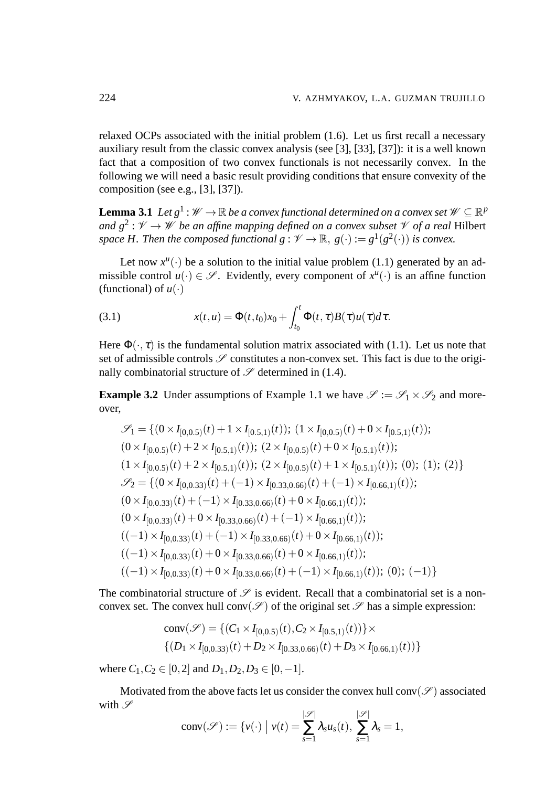relaxed OCPs associated with the initial problem (1.6). Let us first recall a necessary auxiliary result from the classic convex analysis (see [3], [33], [37]): it is a well known fact that a composition of two convex functionals is not necessarily convex. In the following we will need a basic result providing conditions that ensure convexity of the composition (see e.g., [3], [37]).

**Lemma 3.1** Let  $g^1:\mathscr{W}\to\mathbb{R}$  be a convex functional determined on a convex set  $\mathscr{W}\subseteq\mathbb{R}^p$ and  $g^2: V \to W$  be an affine mapping defined on a convex subset  $V$  of a real Hilbert space *H*. Then the composed functional  $g: \mathscr{V} \to \mathbb{R}, g(\cdot) := g^1(g^2(\cdot))$  is convex.

Let now  $x^u(\cdot)$  be a solution to the initial value problem (1.1) generated by an admissible control  $u(\cdot) \in \mathscr{S}$ . Evidently, every component of  $x^u(\cdot)$  is an affine function (functional) of  $u(\cdot)$ 

(3.1) 
$$
x(t, u) = \Phi(t, t_0)x_0 + \int_{t_0}^t \Phi(t, \tau)B(\tau)u(\tau)d\tau.
$$

Here  $\Phi(\cdot, \tau)$  is the fundamental solution matrix associated with (1.1). Let us note that set of admissible controls  $\mathscr S$  constitutes a non-convex set. This fact is due to the originally combinatorial structure of  $\mathscr S$  determined in (1.4).

**Example 3.2** Under assumptions of Example 1.1 we have  $\mathcal{S} := \mathcal{S}_1 \times \mathcal{S}_2$  and moreover,

$$
\mathcal{S}_1 = \{ (0 \times I_{[0,0.5)}(t) + 1 \times I_{[0.5,1)}(t) ); (1 \times I_{[0,0.5)}(t) + 0 \times I_{[0.5,1)}(t) );
$$
  
\n
$$
(0 \times I_{[0,0.5)}(t) + 2 \times I_{[0.5,1)}(t) ); (2 \times I_{[0,0.5)}(t) + 0 \times I_{[0.5,1)}(t) );
$$
  
\n
$$
(1 \times I_{[0,0.5)}(t) + 2 \times I_{[0.5,1)}(t) ); (2 \times I_{[0,0.5)}(t) + 1 \times I_{[0.5,1)}(t) );
$$
  
\n
$$
\mathcal{S}_2 = \{ (0 \times I_{[0,0.33)}(t) + (-1) \times I_{[0.33,0.66)}(t) + (-1) \times I_{[0.66,1)}(t) );
$$
  
\n
$$
(0 \times I_{[0,0.33)}(t) + (-1) \times I_{[0.33,0.66)}(t) + 0 \times I_{[0.66,1)}(t) );
$$
  
\n
$$
(0 \times I_{[0,0.33)}(t) + 0 \times I_{[0.33,0.66)}(t) + (-1) \times I_{[0.66,1)}(t) );
$$
  
\n
$$
((-1) \times I_{[0,0.33)}(t) + (-1) \times I_{[0.33,0.66)}(t) + 0 \times I_{[0.66,1)}(t) );
$$
  
\n
$$
((-1) \times I_{[0,0.33)}(t) + 0 \times I_{[0.33,0.66)}(t) + 0 \times I_{[0.66,1)}(t) );
$$
  
\n
$$
((-1) \times I_{[0,0.33)}(t) + 0 \times I_{[0.33,0.66)}(t) + (-1) \times I_{[0.66,1)}(t) );
$$
  
\n
$$
((-1) \times I_{[0,0.33)}(t) + 0 \times I_{[0.33,0.66)}(t) + (-1) \times I_{[0.66,1)}(t) );
$$

The combinatorial structure of  $\mathscr S$  is evident. Recall that a combinatorial set is a nonconvex set. The convex hull conv( $\mathscr{S}$ ) of the original set  $\mathscr{S}$  has a simple expression:

conv(
$$
\mathscr{S}
$$
) = { $(C_1 \times I_{[0,0.5)}(t), C_2 \times I_{[0.5,1)}(t))$ } ×  
{ $(D_1 \times I_{[0,0.33)}(t) + D_2 \times I_{[0.33,0.66)}(t) + D_3 \times I_{[0.66,1)}(t))$ }

where  $C_1, C_2 \in [0,2]$  and  $D_1, D_2, D_3 \in [0,-1]$ .

Motivated from the above facts let us consider the convex hull conv $(\mathscr{S})$  associated with  $\mathscr S$  $|S \rangle$  $|S \rangle$ 

$$
conv(\mathscr{S}) := \{v(\cdot) \mid v(t) = \sum_{s=1}^{|\mathscr{S}|} \lambda_s u_s(t), \sum_{s=1}^{|\mathscr{S}|} \lambda_s = 1,
$$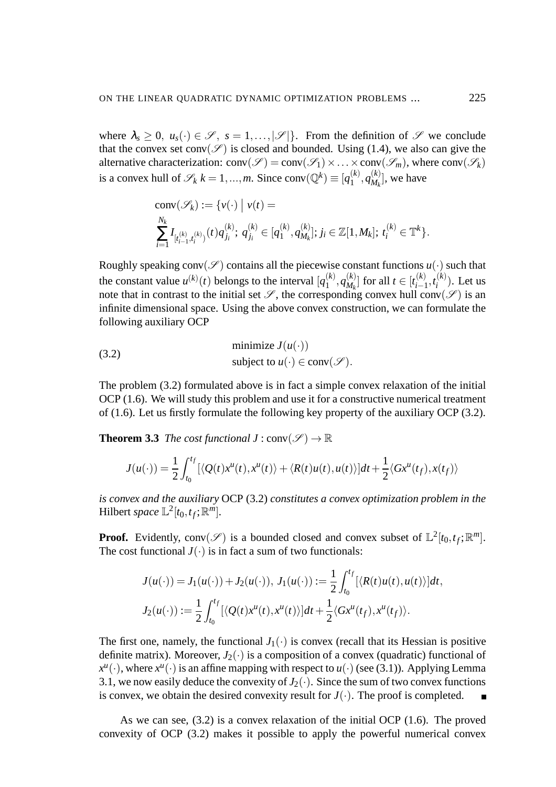where  $\lambda_s \geq 0$ ,  $u_s(\cdot) \in \mathscr{S}$ ,  $s = 1, \ldots, |\mathscr{S}|\}$ . From the definition of  $\mathscr{S}$  we conclude that the convex set conv $(\mathscr{S})$  is closed and bounded. Using (1.4), we also can give the alternative characterization:  $conv(\mathcal{S}) = conv(\mathcal{S}_1) \times ... \times conv(\mathcal{S}_m)$ , where  $conv(\mathcal{S}_k)$ is a convex hull of  $\mathscr{S}_k$   $k = 1, ..., m$ . Since conv $(\mathbb{Q}^k) \equiv [q_1^{(k)}]$  $q_{M_k}^{(k)},q_{M_k}^{(k)}$  $\binom{k}{M_k}$ , we have

conv
$$
(\mathscr{S}_k) := \{v(\cdot) \mid v(t) =
$$
  
\n
$$
\sum_{i=1}^{N_k} I_{[t_{i-1}^{(k)}, t_i^{(k)})}(t) q_{j_i}^{(k)}; q_{j_i}^{(k)} \in [q_1^{(k)}, q_{M_k}^{(k)}]; j_i \in \mathbb{Z}[1, M_k]; t_i^{(k)} \in \mathbb{T}^k\}.
$$

Roughly speaking conv( $\mathscr{S}$ ) contains all the piecewise constant functions  $u(\cdot)$  such that the constant value  $u^{(k)}(t)$  belongs to the interval  $[q_1^{(k)}]$  $q_{M_k}^{(k)},q_{M_k}^{(k)}$  $\binom{k}{M_k}$  for all  $t \in [t^{(k)}_{i-1}]$ *i*−1 ,*t* (*k*)  $i^{(k)}$ ). Let us note that in contrast to the initial set  $\mathscr{S}$ , the corresponding convex hull conv $(\mathscr{S})$  is an infinite dimensional space. Using the above convex construction, we can formulate the following auxiliary OCP

(3.2) minimize 
$$
J(u(\cdot))
$$
  
subject to  $u(\cdot) \in \text{conv}(\mathcal{S})$ .

The problem (3.2) formulated above is in fact a simple convex relaxation of the initial OCP (1.6). We will study this problem and use it for a constructive numerical treatment of (1.6). Let us firstly formulate the following key property of the auxiliary OCP (3.2).

**Theorem 3.3** *The cost functional*  $J : conv(\mathcal{S}) \to \mathbb{R}$ 

$$
J(u(\cdot)) = \frac{1}{2} \int_{t_0}^{t_f} [\langle Q(t)x^u(t), x^u(t) \rangle + \langle R(t)u(t), u(t) \rangle] dt + \frac{1}{2} \langle Gx^u(t_f), x(t_f) \rangle
$$

*is convex and the auxiliary* OCP (3.2) *constitutes a convex optimization problem in the* Hilbert *space*  $\mathbb{L}^2[t_0, t_f; \mathbb{R}^m]$ *.* 

**Proof.** Evidently, conv $(\mathscr{S})$  is a bounded closed and convex subset of  $\mathbb{L}^2[t_0,t_f;\mathbb{R}^m]$ . The cost functional  $J(\cdot)$  is in fact a sum of two functionals:

$$
J(u(\cdot)) = J_1(u(\cdot)) + J_2(u(\cdot)), J_1(u(\cdot)) := \frac{1}{2} \int_{t_0}^{t_f} [\langle R(t)u(t), u(t) \rangle] dt,
$$
  

$$
J_2(u(\cdot)) := \frac{1}{2} \int_{t_0}^{t_f} [\langle Q(t) x^u(t), x^u(t) \rangle] dt + \frac{1}{2} \langle G x^u(t_f), x^u(t_f) \rangle.
$$

The first one, namely, the functional  $J_1(\cdot)$  is convex (recall that its Hessian is positive definite matrix). Moreover,  $J_2(\cdot)$  is a composition of a convex (quadratic) functional of  $x^u(\cdot)$ , where  $x^u(\cdot)$  is an affine mapping with respect to  $u(\cdot)$  (see (3.1)). Applying Lemma 3.1, we now easily deduce the convexity of  $J_2(\cdot)$ . Since the sum of two convex functions is convex, we obtain the desired convexity result for  $J(\cdot)$ . The proof is completed.

As we can see, (3.2) is a convex relaxation of the initial OCP (1.6). The proved convexity of OCP (3.2) makes it possible to apply the powerful numerical convex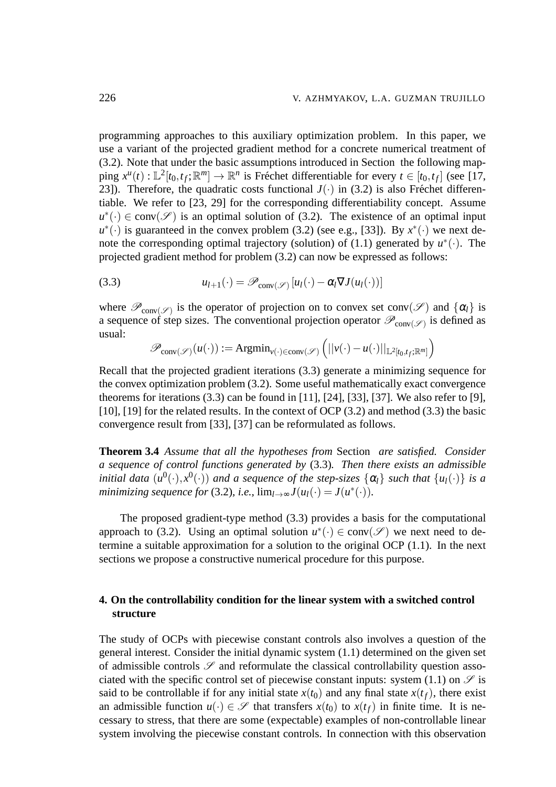programming approaches to this auxiliary optimization problem. In this paper, we use a variant of the projected gradient method for a concrete numerical treatment of (3.2). Note that under the basic assumptions introduced in Section the following map- $\text{ping } x^u(t) : \mathbb{L}^2[t_0, t_f; \mathbb{R}^m] \to \mathbb{R}^n$  is Fréchet differentiable for every  $t \in [t_0, t_f]$  (see [17, 23]). Therefore, the quadratic costs functional  $J(\cdot)$  in (3.2) is also Fréchet differentiable. We refer to [23, 29] for the corresponding differentiability concept. Assume  $u^*(.) \in \text{conv}(\mathscr{S})$  is an optimal solution of (3.2). The existence of an optimal input  $u^*(\cdot)$  is guaranteed in the convex problem (3.2) (see e.g., [33]). By  $x^*(\cdot)$  we next denote the corresponding optimal trajectory (solution) of  $(1.1)$  generated by  $u^*(\cdot)$ . The projected gradient method for problem (3.2) can now be expressed as follows:

(3.3) 
$$
u_{l+1}(\cdot) = \mathscr{P}_{\text{conv}(\mathscr{S})}[u_l(\cdot) - \alpha_l \nabla J(u_l(\cdot))]
$$

where  $\mathscr{P}_{conv(\mathscr{S})}$  is the operator of projection on to convex set conv $(\mathscr{S})$  and  $\{\alpha_l\}$  is a sequence of step sizes. The conventional projection operator  $\mathscr{P}_{conv(\mathscr{S})}$  is defined as usual:

$$
\mathscr{P}_{conv(\mathscr{S})}(u(\cdot)) := \mathrm{Argmin}_{v(\cdot) \in conv(\mathscr{S})} (||v(\cdot) - u(\cdot)||_{\mathbb{L}^2[t_0, t_f; \mathbb{R}^m]})
$$

Recall that the projected gradient iterations (3.3) generate a minimizing sequence for the convex optimization problem (3.2). Some useful mathematically exact convergence theorems for iterations (3.3) can be found in [11], [24], [33], [37]. We also refer to [9], [10], [19] for the related results. In the context of OCP (3.2) and method (3.3) the basic convergence result from [33], [37] can be reformulated as follows.

**Theorem 3.4** *Assume that all the hypotheses from* Section *are satisfied. Consider a sequence of control functions generated by* (3.3)*. Then there exists an admissible initial data*  $(u^0(\cdot), x^0(\cdot))$  and a sequence of the step-sizes  $\{\alpha_l\}$  such that  $\{u_l(\cdot)\}$  is a *minimizing sequence for* (3.2), *i.e.*,  $\lim_{l\to\infty} J(u_l(\cdot) = J(u^*(\cdot))$ .

The proposed gradient-type method (3.3) provides a basis for the computational approach to (3.2). Using an optimal solution  $u^*(.) \in \text{conv}(\mathscr{S})$  we next need to determine a suitable approximation for a solution to the original OCP (1.1). In the next sections we propose a constructive numerical procedure for this purpose.

# **4. On the controllability condition for the linear system with a switched control structure**

The study of OCPs with piecewise constant controls also involves a question of the general interest. Consider the initial dynamic system (1.1) determined on the given set of admissible controls  $\mathscr S$  and reformulate the classical controllability question associated with the specific control set of piecewise constant inputs: system (1.1) on  $\mathscr S$  is said to be controllable if for any initial state  $x(t_0)$  and any final state  $x(t_f)$ , there exist an admissible function  $u(\cdot) \in \mathscr{S}$  that transfers  $x(t_0)$  to  $x(t_f)$  in finite time. It is necessary to stress, that there are some (expectable) examples of non-controllable linear system involving the piecewise constant controls. In connection with this observation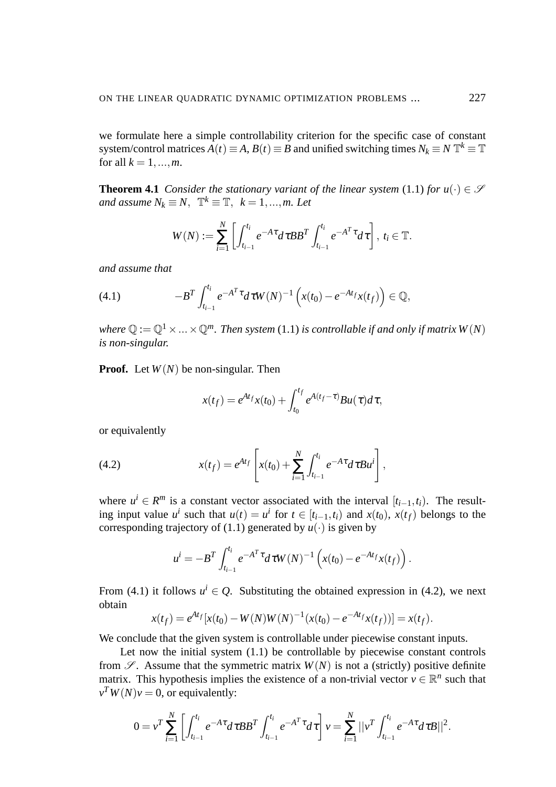we formulate here a simple controllability criterion for the specific case of constant system/control matrices  $A(t) \equiv A$ ,  $B(t) \equiv B$  and unified switching times  $N_k \equiv N \mathbb{T}^k \equiv \mathbb{T}$ for all  $k = 1, ..., m$ .

**Theorem 4.1** *Consider the stationary variant of the linear system* (1.1) *for*  $u(\cdot) \in \mathcal{S}$ *and assume*  $N_k \equiv N, \ \mathbb{T}^k \equiv \mathbb{T}, \ k = 1, ..., m$ . Let

$$
W(N) := \sum_{i=1}^N \left[ \int_{t_{i-1}}^{t_i} e^{-A\tau} d\tau B B^T \int_{t_{i-1}}^{t_i} e^{-A^T \tau} d\tau \right], t_i \in \mathbb{T}.
$$

*and assume that*

(4.1) 
$$
-B^T \int_{t_{i-1}}^{t_i} e^{-A^T \tau} d\tau W(N)^{-1} \left( x(t_0) - e^{-At_f} x(t_f) \right) \in \mathbb{Q},
$$

*where*  $\mathbb{Q} := \mathbb{Q}^1 \times \ldots \times \mathbb{Q}^m$ . Then system (1.1) *is controllable if and only if matrix W(N) is non-singular.*

**Proof.** Let *W*(*N*) be non-singular. Then

$$
x(t_f) = e^{At_f}x(t_0) + \int_{t_0}^{t_f} e^{A(t_f - \tau)}Bu(\tau)d\tau,
$$

or equivalently

(4.2) 
$$
x(t_f) = e^{At_f} \left[ x(t_0) + \sum_{i=1}^{N} \int_{t_{i-1}}^{t_i} e^{-A\tau} d\tau B u^i \right],
$$

where  $u^i \in \mathbb{R}^m$  is a constant vector associated with the interval  $[t_{i-1}, t_i]$ . The resulting input value  $u^i$  such that  $u(t) = u^i$  for  $t \in [t_{i-1}, t_i)$  and  $x(t_0)$ ,  $x(t_f)$  belongs to the corresponding trajectory of (1.1) generated by  $u(\cdot)$  is given by

$$
u^{i} = -B^{T} \int_{t_{i-1}}^{t_i} e^{-A^{T} \tau} d\tau W(N)^{-1} \left( x(t_0) - e^{-At_f} x(t_f) \right).
$$

From (4.1) it follows  $u^i \in Q$ . Substituting the obtained expression in (4.2), we next obtain

$$
x(t_f) = e^{At_f}[x(t_0) - W(N)W(N)^{-1}(x(t_0) - e^{-At_f}x(t_f))] = x(t_f).
$$

We conclude that the given system is controllable under piecewise constant inputs.

Let now the initial system  $(1.1)$  be controllable by piecewise constant controls from  $\mathscr{S}$ . Assume that the symmetric matrix  $W(N)$  is not a (strictly) positive definite matrix. This hypothesis implies the existence of a non-trivial vector  $v \in \mathbb{R}^n$  such that  $v^T W(N) v = 0$ , or equivalently:

$$
0 = v^T \sum_{i=1}^N \left[ \int_{t_{i-1}}^{t_i} e^{-A\tau} d\tau B B^T \int_{t_{i-1}}^{t_i} e^{-A^T \tau} d\tau \right] v = \sum_{i=1}^N ||v^T \int_{t_{i-1}}^{t_i} e^{-A\tau} d\tau B||^2.
$$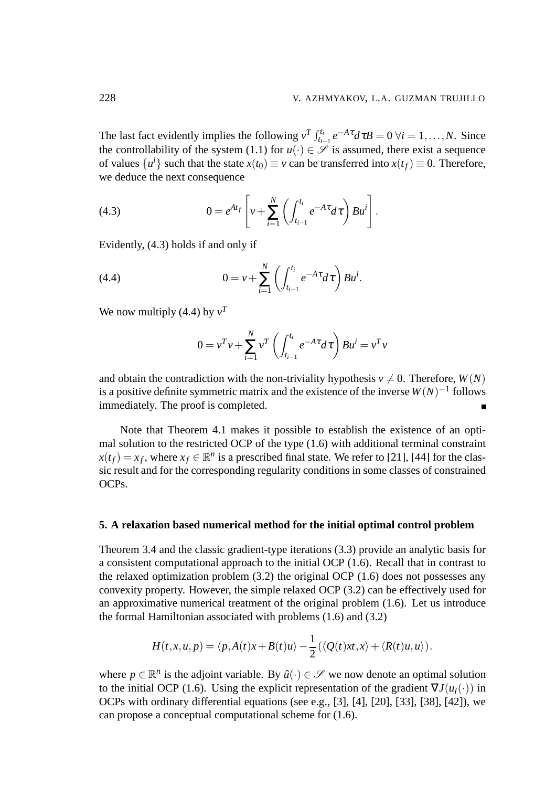The last fact evidently implies the following  $v^T \int_{t_{i-1}}^{t_i} e^{-A\tau} d\tau B = 0 \ \forall i = 1, ..., N$ . Since the controllability of the system (1.1) for  $u(\cdot) \in \mathcal{S}$  is assumed, there exist a sequence of values  $\{u^i\}$  such that the state  $x(t_0) \equiv v$  can be transferred into  $x(t_f) \equiv 0$ . Therefore, we deduce the next consequence

(4.3) 
$$
0 = e^{At_f} \left[ v + \sum_{i=1}^N \left( \int_{t_{i-1}}^{t_i} e^{-A\tau} d\tau \right) B u^i \right].
$$

Evidently, (4.3) holds if and only if

(4.4) 
$$
0 = v + \sum_{i=1}^{N} \left( \int_{t_{i-1}}^{t_i} e^{-A\tau} d\tau \right) B u^{i}.
$$

We now multiply  $(4.4)$  by  $v<sup>T</sup>$ 

$$
0 = v^T v + \sum_{i=1}^{N} v^T \left( \int_{t_{i-1}}^{t_i} e^{-A\tau} d\tau \right) B u^i = v^T v
$$

and obtain the contradiction with the non-triviality hypothesis  $v \neq 0$ . Therefore,  $W(N)$ is a positive definite symmetric matrix and the existence of the inverse  $W(N)^{-1}$  follows immediately. The proof is completed.

Note that Theorem 4.1 makes it possible to establish the existence of an optimal solution to the restricted OCP of the type (1.6) with additional terminal constraint  $x(t_f) = x_f$ , where  $x_f \in \mathbb{R}^n$  is a prescribed final state. We refer to [21], [44] for the classic result and for the corresponding regularity conditions in some classes of constrained OCPs.

### **5. A relaxation based numerical method for the initial optimal control problem**

Theorem 3.4 and the classic gradient-type iterations (3.3) provide an analytic basis for a consistent computational approach to the initial OCP (1.6). Recall that in contrast to the relaxed optimization problem (3.2) the original OCP (1.6) does not possesses any convexity property. However, the simple relaxed OCP (3.2) can be effectively used for an approximative numerical treatment of the original problem (1.6). Let us introduce the formal Hamiltonian associated with problems (1.6) and (3.2)

$$
H(t, x, u, p) = \langle p, A(t)x + B(t)u \rangle - \frac{1}{2} (\langle Q(t)xt, x \rangle + \langle R(t)u, u \rangle).
$$

where  $p \in \mathbb{R}^n$  is the adjoint variable. By  $\hat{u}(\cdot) \in \mathscr{S}$  we now denote an optimal solution to the initial OCP (1.6). Using the explicit representation of the gradient  $\nabla J(u_1(\cdot))$  in OCPs with ordinary differential equations (see e.g., [3], [4], [20], [33], [38], [42]), we can propose a conceptual computational scheme for (1.6).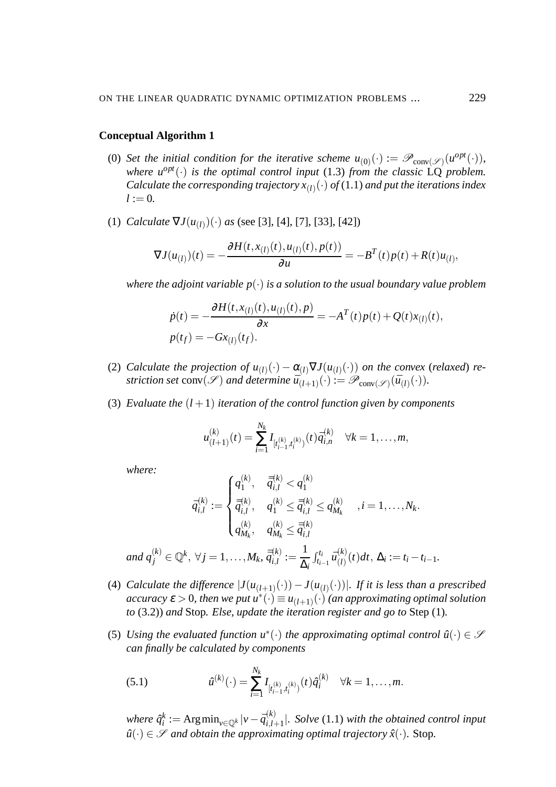### **Conceptual Algorithm 1**

- (0) Set the initial condition for the iterative scheme  $u_{(0)}(\cdot) := \mathscr{P}_{conv(\mathscr{S})}(u^{opt}(\cdot)),$ *where*  $u^{opt}(\cdot)$  *is the optimal control input* (1.3) *from the classic*  $\overline{LQ}$  *problem.* Calculate the corresponding trajectory  $x_{(l)}(\cdot)$  of (1.1) and put the iterations index  $l := 0.$
- (1) *Calculate*  $\nabla J(u_{(l)})(\cdot)$  *as* (see [3], [4], [7], [33], [42])

$$
\nabla J(u_{(l)})(t) = -\frac{\partial H(t, x_{(l)}(t), u_{(l)}(t), p(t))}{\partial u} = -B^T(t)p(t) + R(t)u_{(l)},
$$

*where the adjoint variable*  $p(\cdot)$  *is a solution to the usual boundary value problem* 

$$
\dot{p}(t) = -\frac{\partial H(t, x_{(l)}(t), u_{(l)}(t), p)}{\partial x} = -A^T(t)p(t) + Q(t)x_{(l)}(t),
$$
  
\n
$$
p(t_f) = -Gx_{(l)}(t_f).
$$

- (2) *Calculate the projection of*  $u_{(l)}(\cdot) \alpha_{(l)} \nabla J(u_{(l)}(\cdot))$  *on the convex (relaxed) re*striction set  $conv(\mathscr{S})$  and determine  $\overline{u}_{(l+1)}^{\vee}(\cdot) := \mathscr{P}_{conv(\mathscr{S})}(\overline{u}_{(l)}(\cdot)).$
- (3) *Evaluate the*  $(l + 1)$  *iteration of the control function given by components*

$$
u_{(l+1)}^{(k)}(t) = \sum_{i=1}^{N_k} I_{[t_{i-1}^{(k)},t_i^{(k)})}(t) \overline{q}_{i,n}^{(k)} \quad \forall k = 1,\ldots,m,
$$

*where:*

$$
\bar{q}_{i,l}^{(k)} := \begin{cases} q_1^{(k)}, & \bar{\bar{q}}_{i,l}^{(k)} < q_1^{(k)} \\ \bar{\bar{q}}_{i,l}^{(k)}, & q_1^{(k)} \le \bar{\bar{q}}_{i,l}^{(k)} \le q_{M_k}^{(k)} \quad , i = 1, \dots, N_k. \\ q_{M_k}^{(k)}, & q_{M_k}^{(k)} \le \bar{\bar{q}}_{i,l}^{(k)} \\ \text{and } q_j^{(k)} \in \mathbb{Q}^k, \ \forall j = 1, \dots, M_k, \ \bar{\bar{q}}_{i,l}^{(k)} := \frac{1}{\Delta_i} \int_{t_{i-1}}^{t_i} \bar{u}_{(l)}^{(k)}(t) dt, \ \Delta_i := t_i - t_{i-1}. \end{cases}
$$

- (4) *Calculate the difference*  $|J(u_{(l+1)}(\cdot)) J(u_{(l)}(\cdot))|$ *. If it is less than a prescribed*  $accuracy \varepsilon > 0$ , then we put  $u^*(\cdot) \equiv u_{(l+1)}(\cdot)$  *(an approximating optimal solution to* (3.2)) *and* Stop*. Else, update the iteration register and go to* Step (1)*.*
- (5) Using the evaluated function  $u^*(\cdot)$  the approximating optimal control  $\hat{u}(\cdot) \in \mathcal{S}$ *can finally be calculated by components*

(5.1) 
$$
\hat{u}^{(k)}(\cdot) = \sum_{i=1}^{N_k} I_{[t_{i-1}^{(k)},t_i^{(k)})}(t) \hat{q}_i^{(k)} \quad \forall k = 1,\ldots,m.
$$

 $\mathit{where} \ \hat{q}_i^k := \mathrm{Arg\,min}_{\mathit{v} \in \mathbb{Q}^k} |\mathit{v} - \bar{q}_{i,l}^{(k)}|$  $\int_{i,l+1}^{(k)}$ . *Solve* (1.1) with the obtained control input  $\hat{u}(\cdot) \in \mathscr{S}$  *and obtain the approximating optimal trajectory*  $\hat{x}(\cdot)$ *.* Stop.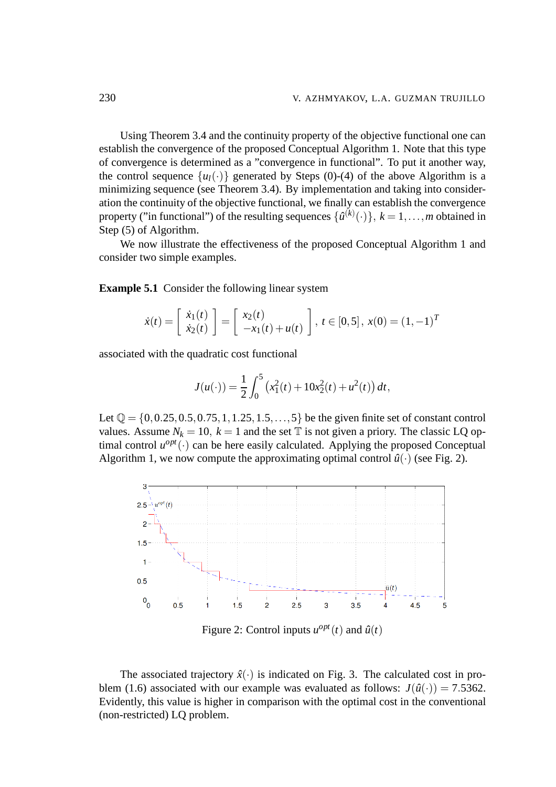Using Theorem 3.4 and the continuity property of the objective functional one can establish the convergence of the proposed Conceptual Algorithm 1. Note that this type of convergence is determined as a "convergence in functional". To put it another way, the control sequence  $\{u_l(\cdot)\}$  generated by Steps (0)-(4) of the above Algorithm is a minimizing sequence (see Theorem 3.4). By implementation and taking into consideration the continuity of the objective functional, we finally can establish the convergence property ("in functional") of the resulting sequences  $\{\hat{u}^{(k)}(\cdot)\}, k = 1, \ldots, m$  obtained in Step (5) of Algorithm.

We now illustrate the effectiveness of the proposed Conceptual Algorithm 1 and consider two simple examples.

**Example 5.1** Consider the following linear system

$$
\dot{x}(t) = \begin{bmatrix} \dot{x}_1(t) \\ \dot{x}_2(t) \end{bmatrix} = \begin{bmatrix} x_2(t) \\ -x_1(t) + u(t) \end{bmatrix}, \ t \in [0, 5], \ x(0) = (1, -1)^T
$$

associated with the quadratic cost functional

$$
J(u(\cdot)) = \frac{1}{2} \int_0^5 \left( x_1^2(t) + 10x_2^2(t) + u^2(t) \right) dt,
$$

Let  $\mathbb{Q} = \{0, 0.25, 0.5, 0.75, 1, 1.25, 1.5, \ldots, 5\}$  be the given finite set of constant control values. Assume  $N_k = 10$ ,  $k = 1$  and the set  $\mathbb T$  is not given a priory. The classic LQ optimal control  $u^{opt}(\cdot)$  can be here easily calculated. Applying the proposed Conceptual Algorithm 1, we now compute the approximating optimal control  $\hat{u}(\cdot)$  (see Fig. 2).



Figure 2: Control inputs  $u^{opt}(t)$  and  $\hat{u}(t)$ 

The associated trajectory  $\hat{x}(\cdot)$  is indicated on Fig. 3. The calculated cost in problem (1.6) associated with our example was evaluated as follows:  $J(\hat{u}(\cdot)) = 7.5362$ . Evidently, this value is higher in comparison with the optimal cost in the conventional (non-restricted) LQ problem.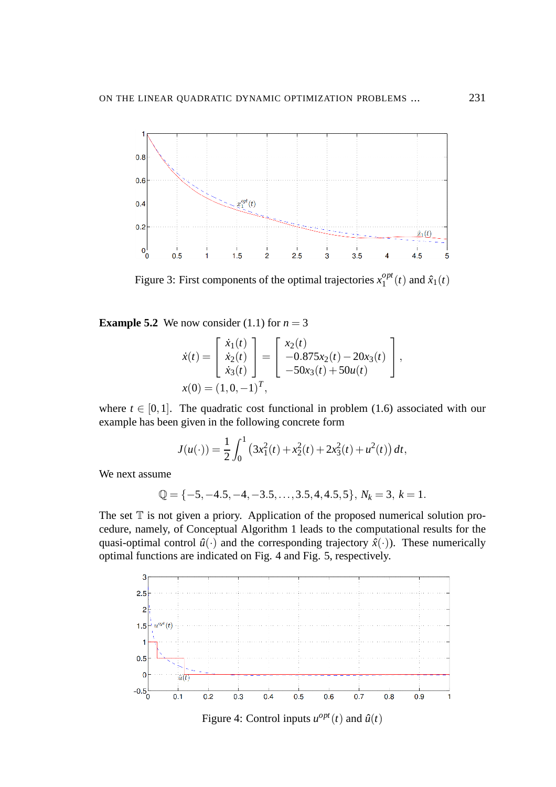

Figure 3: First components of the optimal trajectories  $x_1^{opt}$  $\int_1^{opp}(t)$  and  $\hat{x}_1(t)$ 

**Example 5.2** We now consider (1.1) for  $n = 3$ 

$$
\dot{x}(t) = \begin{bmatrix} \dot{x}_1(t) \\ \dot{x}_2(t) \\ \dot{x}_3(t) \end{bmatrix} = \begin{bmatrix} x_2(t) \\ -0.875x_2(t) - 20x_3(t) \\ -50x_3(t) + 50u(t) \end{bmatrix},
$$

$$
x(0) = (1, 0, -1)^T,
$$

where  $t \in [0,1]$ . The quadratic cost functional in problem (1.6) associated with our example has been given in the following concrete form

$$
J(u(\cdot)) = \frac{1}{2} \int_0^1 (3x_1^2(t) + x_2^2(t) + 2x_3^2(t) + u^2(t)) dt,
$$

We next assume

$$
\mathbb{Q} = \{-5, -4.5, -4, -3.5, \dots, 3.5, 4, 4.5, 5\}, N_k = 3, k = 1.
$$

The set  $T$  is not given a priory. Application of the proposed numerical solution procedure, namely, of Conceptual Algorithm 1 leads to the computational results for the quasi-optimal control  $\hat{u}(\cdot)$  and the corresponding trajectory  $\hat{x}(\cdot)$ ). These numerically optimal functions are indicated on Fig. 4 and Fig. 5, respectively.



Figure 4: Control inputs  $u^{opt}(t)$  and  $\hat{u}(t)$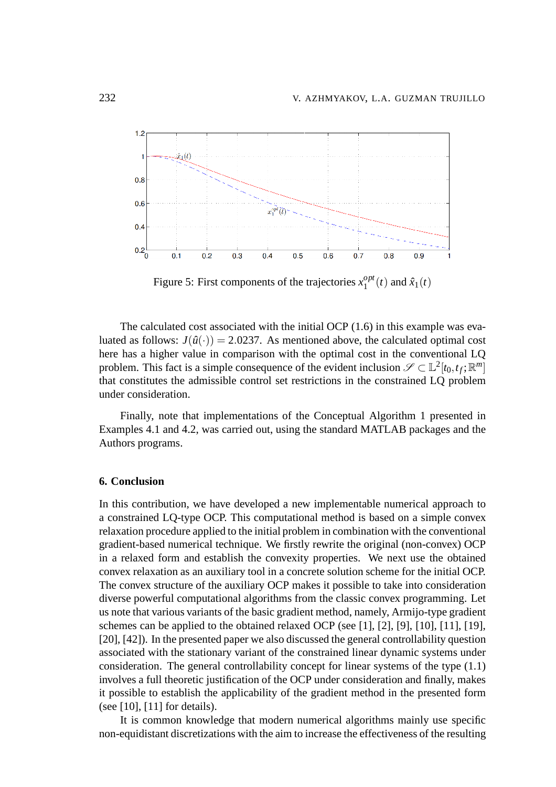

Figure 5: First components of the trajectories  $x_1^{opt}$  $_1^{opt}(t)$  and  $\hat{x}_1(t)$ 

The calculated cost associated with the initial OCP (1.6) in this example was evaluated as follows:  $J(\hat{u}(\cdot)) = 2.0237$ . As mentioned above, the calculated optimal cost here has a higher value in comparison with the optimal cost in the conventional LQ problem. This fact is a simple consequence of the evident inclusion  $\mathscr{S} \subset \mathbb{L}^2[t_0,t_f;\mathbb{R}^m]$ that constitutes the admissible control set restrictions in the constrained LQ problem under consideration.

Finally, note that implementations of the Conceptual Algorithm 1 presented in Examples 4.1 and 4.2, was carried out, using the standard MATLAB packages and the Authors programs.

### **6. Conclusion**

In this contribution, we have developed a new implementable numerical approach to a constrained LQ-type OCP. This computational method is based on a simple convex relaxation procedure applied to the initial problem in combination with the conventional gradient-based numerical technique. We firstly rewrite the original (non-convex) OCP in a relaxed form and establish the convexity properties. We next use the obtained convex relaxation as an auxiliary tool in a concrete solution scheme for the initial OCP. The convex structure of the auxiliary OCP makes it possible to take into consideration diverse powerful computational algorithms from the classic convex programming. Let us note that various variants of the basic gradient method, namely, Armijo-type gradient schemes can be applied to the obtained relaxed OCP (see [1], [2], [9], [10], [11], [19], [20], [42]). In the presented paper we also discussed the general controllability question associated with the stationary variant of the constrained linear dynamic systems under consideration. The general controllability concept for linear systems of the type (1.1) involves a full theoretic justification of the OCP under consideration and finally, makes it possible to establish the applicability of the gradient method in the presented form (see [10], [11] for details).

It is common knowledge that modern numerical algorithms mainly use specific non-equidistant discretizations with the aim to increase the effectiveness of the resulting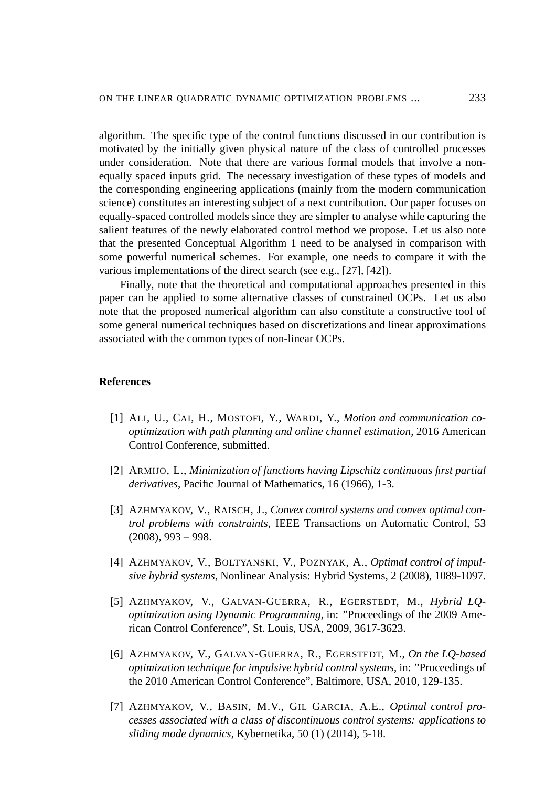algorithm. The specific type of the control functions discussed in our contribution is motivated by the initially given physical nature of the class of controlled processes under consideration. Note that there are various formal models that involve a nonequally spaced inputs grid. The necessary investigation of these types of models and the corresponding engineering applications (mainly from the modern communication science) constitutes an interesting subject of a next contribution. Our paper focuses on equally-spaced controlled models since they are simpler to analyse while capturing the salient features of the newly elaborated control method we propose. Let us also note that the presented Conceptual Algorithm 1 need to be analysed in comparison with some powerful numerical schemes. For example, one needs to compare it with the various implementations of the direct search (see e.g., [27], [42]).

Finally, note that the theoretical and computational approaches presented in this paper can be applied to some alternative classes of constrained OCPs. Let us also note that the proposed numerical algorithm can also constitute a constructive tool of some general numerical techniques based on discretizations and linear approximations associated with the common types of non-linear OCPs.

### **References**

- [1] ALI, U., CAI, H., MOSTOFI, Y., WARDI, Y., *Motion and communication cooptimization with path planning and online channel estimation*, 2016 American Control Conference, submitted.
- [2] ARMIJO, L., *Minimization of functions having Lipschitz continuous first partial derivatives*, Pacific Journal of Mathematics, 16 (1966), 1-3.
- [3] AZHMYAKOV, V., RAISCH, J., *Convex control systems and convex optimal control problems with constraints*, IEEE Transactions on Automatic Control, 53  $(2008), 993 - 998.$
- [4] AZHMYAKOV, V., BOLTYANSKI, V., POZNYAK, A., *Optimal control of impulsive hybrid systems*, Nonlinear Analysis: Hybrid Systems, 2 (2008), 1089-1097.
- [5] AZHMYAKOV, V., GALVAN-GUERRA, R., EGERSTEDT, M., *Hybrid LQoptimization using Dynamic Programming*, in: "Proceedings of the 2009 American Control Conference", St. Louis, USA, 2009, 3617-3623.
- [6] AZHMYAKOV, V., GALVAN-GUERRA, R., EGERSTEDT, M., *On the LQ-based optimization technique for impulsive hybrid control systems*, in: "Proceedings of the 2010 American Control Conference", Baltimore, USA, 2010, 129-135.
- [7] AZHMYAKOV, V., BASIN, M.V., GIL GARCIA, A.E., *Optimal control processes associated with a class of discontinuous control systems: applications to sliding mode dynamics*, Kybernetika, 50 (1) (2014), 5-18.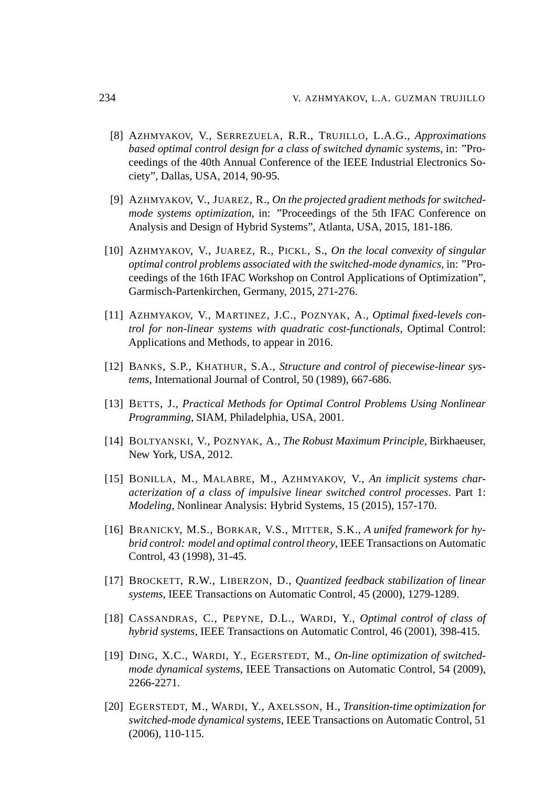- [8] AZHMYAKOV, V., SERREZUELA, R.R., TRUJILLO, L.A.G., *Approximations based optimal control design for a class of switched dynamic systems*, in: "Proceedings of the 40th Annual Conference of the IEEE Industrial Electronics Society", Dallas, USA, 2014, 90-95.
- [9] AZHMYAKOV, V., JUAREZ, R., *On the projected gradient methods for switchedmode systems optimization*, in: "Proceedings of the 5th IFAC Conference on Analysis and Design of Hybrid Systems", Atlanta, USA, 2015, 181-186.
- [10] AZHMYAKOV, V., JUAREZ, R., PICKL, S., *On the local convexity of singular optimal control problems associated with the switched-mode dynamics*, in: "Proceedings of the 16th IFAC Workshop on Control Applications of Optimization", Garmisch-Partenkirchen, Germany, 2015, 271-276.
- [11] AZHMYAKOV, V., MARTINEZ, J.C., POZNYAK, A., *Optimal fixed-levels control for non-linear systems with quadratic cost-functionals*, Optimal Control: Applications and Methods, to appear in 2016.
- [12] BANKS, S.P., KHATHUR, S.A., *Structure and control of piecewise-linear systems*, International Journal of Control, 50 (1989), 667-686.
- [13] BETTS, J., *Practical Methods for Optimal Control Problems Using Nonlinear Programming*, SIAM, Philadelphia, USA, 2001.
- [14] BOLTYANSKI, V., POZNYAK, A., *The Robust Maximum Principle*, Birkhaeuser, New York, USA, 2012.
- [15] BONILLA, M., MALABRE, M., AZHMYAKOV, V., *An implicit systems characterization of a class of impulsive linear switched control processes*. Part 1: *Modeling*, Nonlinear Analysis: Hybrid Systems, 15 (2015), 157-170.
- [16] BRANICKY, M.S., BORKAR, V.S., MITTER, S.K., *A unifed framework for hybrid control: model and optimal control theory*, IEEE Transactions on Automatic Control, 43 (1998), 31-45.
- [17] BROCKETT, R.W., LIBERZON, D., *Quantized feedback stabilization of linear systems*, IEEE Transactions on Automatic Control, 45 (2000), 1279-1289.
- [18] CASSANDRAS, C., PEPYNE, D.L., WARDI, Y., *Optimal control of class of hybrid systems*, IEEE Transactions on Automatic Control, 46 (2001), 398-415.
- [19] DING, X.C., WARDI, Y., EGERSTEDT, M., *On-line optimization of switchedmode dynamical systems*, IEEE Transactions on Automatic Control, 54 (2009), 2266-2271.
- [20] EGERSTEDT, M., WARDI, Y., AXELSSON, H., *Transition-time optimization for switched-mode dynamical systems*, IEEE Transactions on Automatic Control, 51 (2006), 110-115.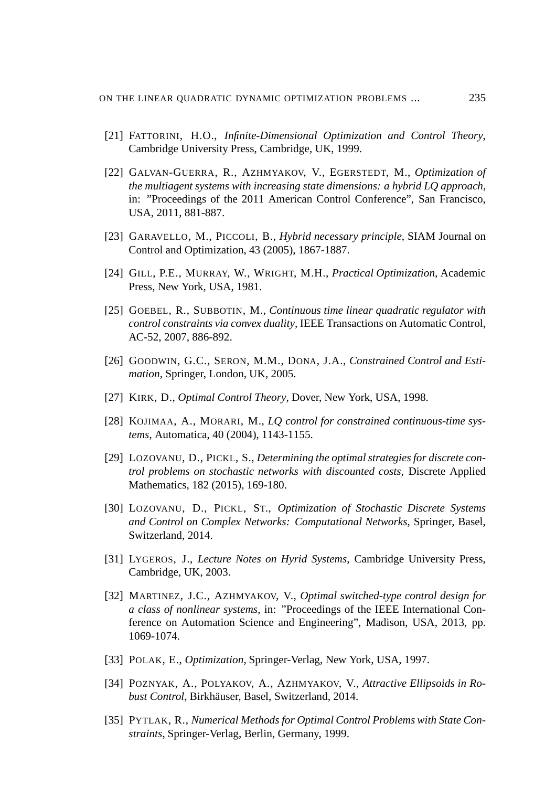- [21] FATTORINI, H.O., *Infinite-Dimensional Optimization and Control Theory*, Cambridge University Press, Cambridge, UK, 1999.
- [22] GALVAN-GUERRA, R., AZHMYAKOV, V., EGERSTEDT, M., *Optimization of the multiagent systems with increasing state dimensions: a hybrid LQ approach*, in: "Proceedings of the 2011 American Control Conference", San Francisco, USA, 2011, 881-887.
- [23] GARAVELLO, M., PICCOLI, B., *Hybrid necessary principle*, SIAM Journal on Control and Optimization, 43 (2005), 1867-1887.
- [24] GILL, P.E., MURRAY, W., WRIGHT, M.H., *Practical Optimization*, Academic Press, New York, USA, 1981.
- [25] GOEBEL, R., SUBBOTIN, M., *Continuous time linear quadratic regulator with control constraints via convex duality*, IEEE Transactions on Automatic Control, AC-52, 2007, 886-892.
- [26] GOODWIN, G.C., SERON, M.M., DONA, J.A., *Constrained Control and Estimation*, Springer, London, UK, 2005.
- [27] KIRK, D., *Optimal Control Theory*, Dover, New York, USA, 1998.
- [28] KOJIMAA, A., MORARI, M., *LQ control for constrained continuous-time systems*, Automatica, 40 (2004), 1143-1155.
- [29] LOZOVANU, D., PICKL, S., *Determining the optimal strategies for discrete control problems on stochastic networks with discounted costs,* Discrete Applied Mathematics, 182 (2015), 169-180.
- [30] LOZOVANU, D., PICKL, ST., *Optimization of Stochastic Discrete Systems and Control on Complex Networks: Computational Networks*, Springer, Basel, Switzerland, 2014.
- [31] LYGEROS, J., *Lecture Notes on Hyrid Systems*, Cambridge University Press, Cambridge, UK, 2003.
- [32] MARTINEZ, J.C., AZHMYAKOV, V., *Optimal switched-type control design for a class of nonlinear systems*, in: "Proceedings of the IEEE International Conference on Automation Science and Engineering", Madison, USA, 2013, pp. 1069-1074.
- [33] POLAK, E., *Optimization*, Springer-Verlag, New York, USA, 1997.
- [34] POZNYAK, A., POLYAKOV, A., AZHMYAKOV, V., *Attractive Ellipsoids in Robust Control*, Birkhäuser, Basel, Switzerland, 2014.
- [35] PYTLAK, R., *Numerical Methods for Optimal Control Problems with State Constraints*, Springer-Verlag, Berlin, Germany, 1999.